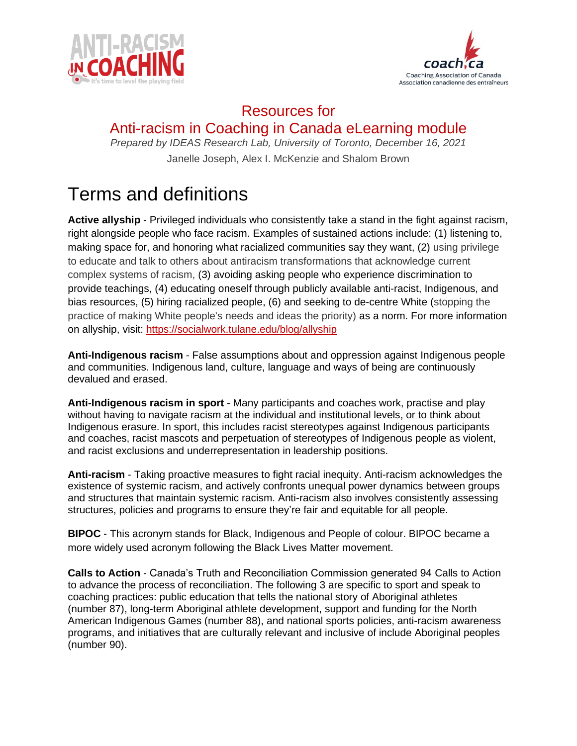



## Resources for Anti-racism in Coaching in Canada eLearning module

*Prepared by IDEAS Research Lab, University of Toronto, December 16, 2021* Janelle Joseph, Alex I. McKenzie and Shalom Brown

## Terms and definitions

**Active allyship** - Privileged individuals who consistently take a stand in the fight against racism, right alongside people who face racism. Examples of sustained actions include: (1) listening to, making space for, and honoring what racialized communities say they want, (2) using privilege to educate and talk to others about antiracism transformations that acknowledge current complex systems of racism, (3) avoiding asking people who experience discrimination to provide teachings, (4) educating oneself through publicly available anti-racist, Indigenous, and bias resources, (5) hiring racialized people, (6) and seeking to de-centre White (stopping the practice of making White people's needs and ideas the priority) as a norm. For more information on allyship, visit:<https://socialwork.tulane.edu/blog/allyship>

**Anti-Indigenous racism** - False assumptions about and oppression against Indigenous people and communities. Indigenous land, culture, language and ways of being are continuously devalued and erased.

**Anti-Indigenous racism in sport** - Many participants and coaches work, practise and play without having to navigate racism at the individual and institutional levels, or to think about Indigenous erasure. In sport, this includes racist stereotypes against Indigenous participants and coaches, racist mascots and perpetuation of stereotypes of Indigenous people as violent, and racist exclusions and underrepresentation in leadership positions.

**Anti-racism** - Taking proactive measures to fight racial inequity. Anti-racism acknowledges the existence of systemic racism, and actively confronts unequal power dynamics between groups and structures that maintain systemic racism. Anti-racism also involves consistently assessing structures, policies and programs to ensure they're fair and equitable for all people.

**BIPOC** - This acronym stands for Black, Indigenous and People of colour. BIPOC became a more widely used acronym following the Black Lives Matter movement.

**Calls to Action** - Canada's Truth and Reconciliation Commission generated 94 Calls to Action to advance the process of reconciliation. The following 3 are specific to sport and speak to coaching practices: public education that tells the national story of Aboriginal athletes (number 87), long-term Aboriginal athlete development, support and funding for the North American Indigenous Games (number 88), and national sports policies, anti-racism awareness programs, and initiatives that are culturally relevant and inclusive of include Aboriginal peoples (number 90).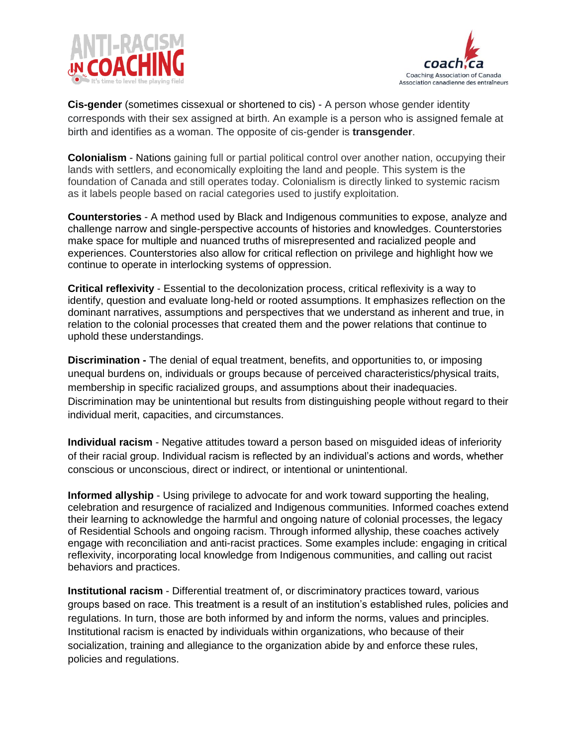



**Cis-gender** (sometimes cissexual or shortened to cis) - A person whose gender identity corresponds with their sex assigned at birth. An example is a person who is assigned female at birth and identifies as a woman. The opposite of cis-gender is **transgender**.

**Colonialism** - Nations gaining full or partial political control over another nation, occupying their lands with settlers, and economically exploiting the land and people. This system is the foundation of Canada and still operates today. Colonialism is directly linked to systemic racism as it labels people based on racial categories used to justify exploitation.

**Counterstories** - A method used by Black and Indigenous communities to expose, analyze and challenge narrow and single-perspective accounts of histories and knowledges. Counterstories make space for multiple and nuanced truths of misrepresented and racialized people and experiences. Counterstories also allow for critical reflection on privilege and highlight how we continue to operate in interlocking systems of oppression.

**Critical reflexivity** - Essential to the decolonization process, critical reflexivity is a way to identify, question and evaluate long-held or rooted assumptions. It emphasizes reflection on the dominant narratives, assumptions and perspectives that we understand as inherent and true, in relation to the colonial processes that created them and the power relations that continue to uphold these understandings.

**Discrimination -** The denial of equal treatment, benefits, and opportunities to, or imposing unequal burdens on, individuals or groups because of perceived characteristics/physical traits, membership in specific racialized groups, and assumptions about their inadequacies. Discrimination may be unintentional but results from distinguishing people without regard to their individual merit, capacities, and circumstances.

**Individual racism** - Negative attitudes toward a person based on misguided ideas of inferiority of their racial group. Individual racism is reflected by an individual's actions and words, whether conscious or unconscious, direct or indirect, or intentional or unintentional.

**Informed allyship** - Using privilege to advocate for and work toward supporting the healing, celebration and resurgence of racialized and Indigenous communities. Informed coaches extend their learning to acknowledge the harmful and ongoing nature of colonial processes, the legacy of Residential Schools and ongoing racism. Through informed allyship, these coaches actively engage with reconciliation and anti-racist practices. Some examples include: engaging in critical reflexivity, incorporating local knowledge from Indigenous communities, and calling out racist behaviors and practices.

**Institutional racism** - Differential treatment of, or discriminatory practices toward, various groups based on race. This treatment is a result of an institution's established rules, policies and regulations. In turn, those are both informed by and inform the norms, values and principles. Institutional racism is enacted by individuals within organizations, who because of their socialization, training and allegiance to the organization abide by and enforce these rules, policies and regulations.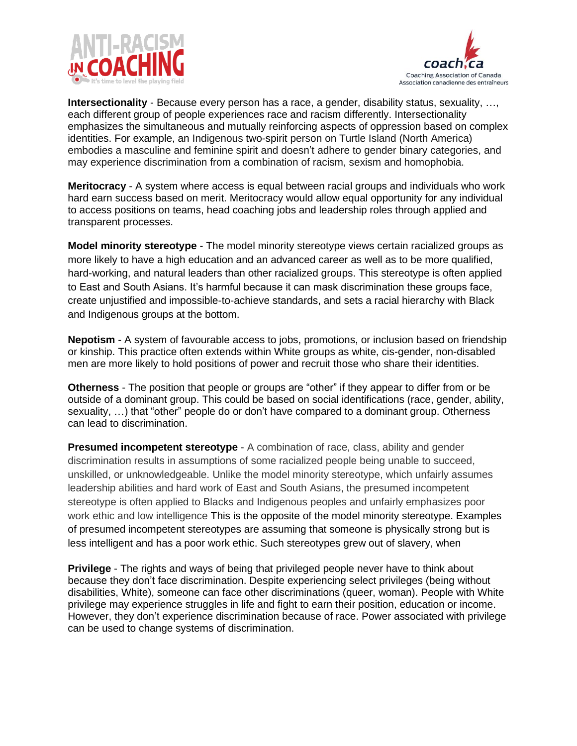



**Intersectionality** - Because every person has a race, a gender, disability status, sexuality, …, each different group of people experiences race and racism differently. Intersectionality emphasizes the simultaneous and mutually reinforcing aspects of oppression based on complex identities. For example, an Indigenous two-spirit person on Turtle Island (North America) embodies a masculine and feminine spirit and doesn't adhere to gender binary categories, and may experience discrimination from a combination of racism, sexism and homophobia.

**Meritocracy** - A system where access is equal between racial groups and individuals who work hard earn success based on merit. Meritocracy would allow equal opportunity for any individual to access positions on teams, head coaching jobs and leadership roles through applied and transparent processes.

**Model minority stereotype** - The model minority stereotype views certain racialized groups as more likely to have a high education and an advanced career as well as to be more qualified, hard-working, and natural leaders than other racialized groups. This stereotype is often applied to East and South Asians. It's harmful because it can mask discrimination these groups face, create unjustified and impossible-to-achieve standards, and sets a racial hierarchy with Black and Indigenous groups at the bottom.

**Nepotism** - A system of favourable access to jobs, promotions, or inclusion based on friendship or kinship. This practice often extends within White groups as white, cis-gender, non-disabled men are more likely to hold positions of power and recruit those who share their identities.

**Otherness** - The position that people or groups are "other" if they appear to differ from or be outside of a dominant group. This could be based on social identifications (race, gender, ability, sexuality, …) that "other" people do or don't have compared to a dominant group. Otherness can lead to discrimination.

**Presumed incompetent stereotype** - A combination of race, class, ability and gender discrimination results in assumptions of some racialized people being unable to succeed, unskilled, or unknowledgeable. Unlike the model minority stereotype, which unfairly assumes leadership abilities and hard work of East and South Asians, the presumed incompetent stereotype is often applied to Blacks and Indigenous peoples and unfairly emphasizes poor work ethic and low intelligence This is the opposite of the model minority stereotype. Examples of presumed incompetent stereotypes are assuming that someone is physically strong but is less intelligent and has a poor work ethic. Such stereotypes grew out of slavery, when

**Privilege** - The rights and ways of being that privileged people never have to think about because they don't face discrimination. Despite experiencing select privileges (being without disabilities, White), someone can face other discriminations (queer, woman). People with White privilege may experience struggles in life and fight to earn their position, education or income. However, they don't experience discrimination because of race. Power associated with privilege can be used to change systems of discrimination.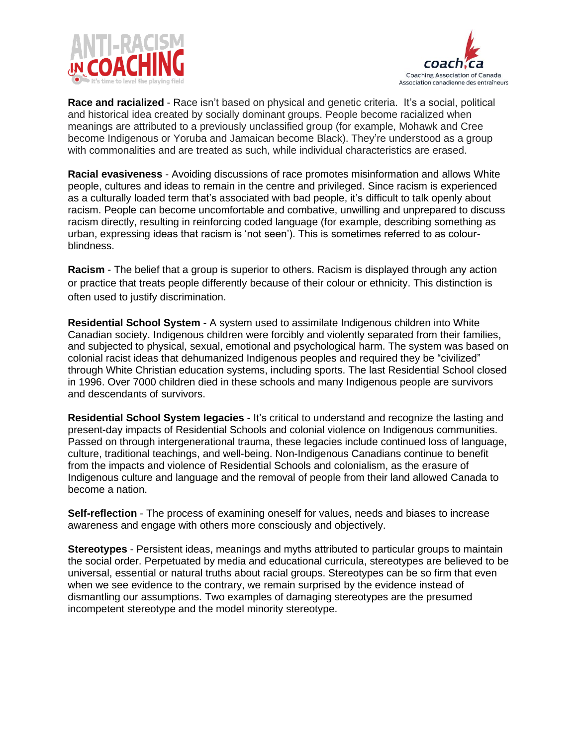



**Race and racialized** - Race isn't based on physical and genetic criteria. It's a social, political and historical idea created by socially dominant groups. People become racialized when meanings are attributed to a previously unclassified group (for example, Mohawk and Cree become Indigenous or Yoruba and Jamaican become Black). They're understood as a group with commonalities and are treated as such, while individual characteristics are erased.

**Racial evasiveness** - Avoiding discussions of race promotes misinformation and allows White people, cultures and ideas to remain in the centre and privileged. Since racism is experienced as a culturally loaded term that's associated with bad people, it's difficult to talk openly about racism. People can become uncomfortable and combative, unwilling and unprepared to discuss racism directly, resulting in reinforcing coded language (for example, describing something as urban, expressing ideas that racism is 'not seen'). This is sometimes referred to as colourblindness.

**Racism** - The belief that a group is superior to others. Racism is displayed through any action or practice that treats people differently because of their colour or ethnicity. This distinction is often used to justify discrimination.

**Residential School System** - A system used to assimilate Indigenous children into White Canadian society. Indigenous children were forcibly and violently separated from their families, and subjected to physical, sexual, emotional and psychological harm. The system was based on colonial racist ideas that dehumanized Indigenous peoples and required they be "civilized" through White Christian education systems, including sports. The last Residential School closed in 1996. Over 7000 children died in these schools and many Indigenous people are survivors and descendants of survivors.

**Residential School System legacies** - It's critical to understand and recognize the lasting and present-day impacts of Residential Schools and colonial violence on Indigenous communities. Passed on through intergenerational trauma, these legacies include continued loss of language, culture, traditional teachings, and well-being. Non-Indigenous Canadians continue to benefit from the impacts and violence of Residential Schools and colonialism, as the erasure of Indigenous culture and language and the removal of people from their land allowed Canada to become a nation.

**Self-reflection** - The process of examining oneself for values, needs and biases to increase awareness and engage with others more consciously and objectively.

**Stereotypes** - Persistent ideas, meanings and myths attributed to particular groups to maintain the social order. Perpetuated by media and educational curricula, stereotypes are believed to be universal, essential or natural truths about racial groups. Stereotypes can be so firm that even when we see evidence to the contrary, we remain surprised by the evidence instead of dismantling our assumptions. Two examples of damaging stereotypes are the presumed incompetent stereotype and the model minority stereotype.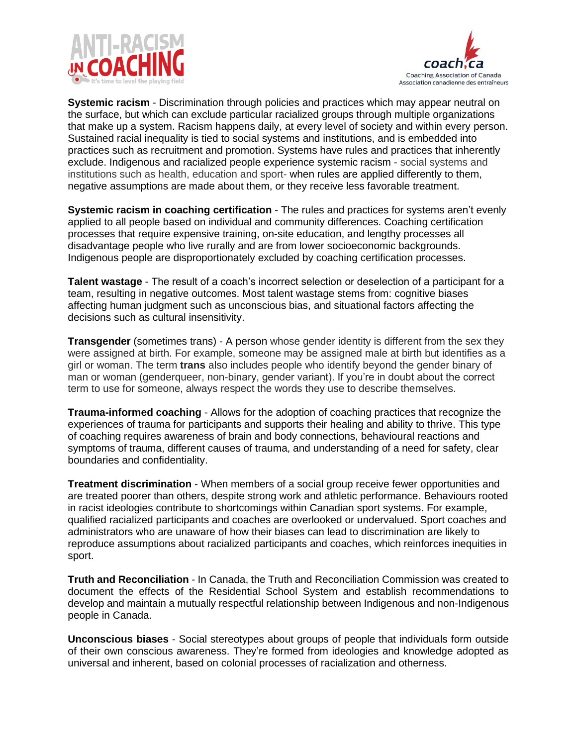



**Systemic racism** - Discrimination through policies and practices which may appear neutral on the surface, but which can exclude particular racialized groups through multiple organizations that make up a system. Racism happens daily, at every level of society and within every person. Sustained racial inequality is tied to social systems and institutions, and is embedded into practices such as recruitment and promotion. Systems have rules and practices that inherently exclude. Indigenous and racialized people experience systemic racism - social systems and institutions such as health, education and sport- when rules are applied differently to them, negative assumptions are made about them, or they receive less favorable treatment.

**Systemic racism in coaching certification** - The rules and practices for systems aren't evenly applied to all people based on individual and community differences. Coaching certification processes that require expensive training, on-site education, and lengthy processes all disadvantage people who live rurally and are from lower socioeconomic backgrounds. Indigenous people are disproportionately excluded by coaching certification processes.

**Talent wastage** - The result of a coach's incorrect selection or deselection of a participant for a team, resulting in negative outcomes. Most talent wastage stems from: cognitive biases affecting human judgment such as unconscious bias, and situational factors affecting the decisions such as cultural insensitivity.

**Transgender** (sometimes trans) - A person whose gender identity is different from the sex they were assigned at birth. For example, someone may be assigned male at birth but identifies as a girl or woman. The term **trans** also includes people who identify beyond the gender binary of man or woman (genderqueer, non-binary, gender variant). If you're in doubt about the correct term to use for someone, always respect the words they use to describe themselves.

**Trauma-informed coaching** - Allows for the adoption of coaching practices that recognize the experiences of trauma for participants and supports their healing and ability to thrive. This type of coaching requires awareness of brain and body connections, behavioural reactions and symptoms of trauma, different causes of trauma, and understanding of a need for safety, clear boundaries and confidentiality.

**Treatment discrimination** - When members of a social group receive fewer opportunities and are treated poorer than others, despite strong work and athletic performance. Behaviours rooted in racist ideologies contribute to shortcomings within Canadian sport systems. For example, qualified racialized participants and coaches are overlooked or undervalued. Sport coaches and administrators who are unaware of how their biases can lead to discrimination are likely to reproduce assumptions about racialized participants and coaches, which reinforces inequities in sport.

**Truth and Reconciliation** - In Canada, the Truth and Reconciliation Commission was created to document the effects of the Residential School System and establish recommendations to develop and maintain a mutually respectful relationship between Indigenous and non-Indigenous people in Canada.

**Unconscious biases** - Social stereotypes about groups of people that individuals form outside of their own conscious awareness. They're formed from ideologies and knowledge adopted as universal and inherent, based on colonial processes of racialization and otherness.